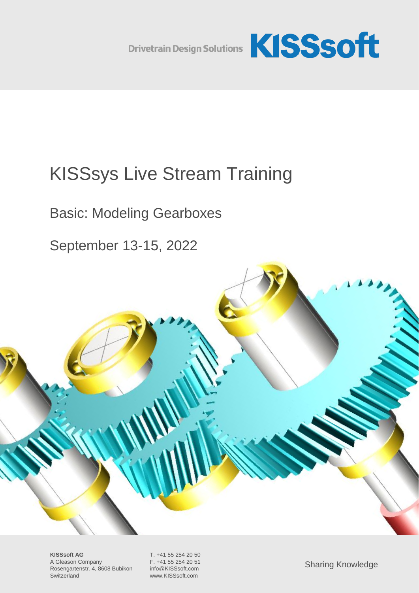

# KISSsys Live Stream Training

Basic: Modeling Gearboxes

September 13-15, 2022



**KISSsoft AG** T. +41 55 254 20 50<br>A Gleason Company F. +41 55 254 20 51 A Gleason Company Rosengartenstr. 4, 8608 Bubikon info@KISSsoft.com Switzerland www.KISSsoft.com

Sharing Knowledge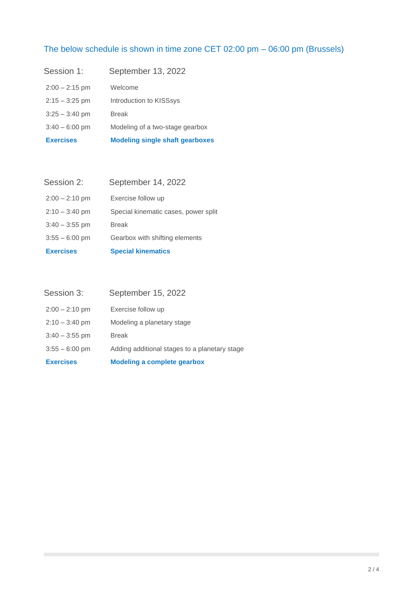## The below schedule is shown in time zone CET 02:00 pm – 06:00 pm (Brussels)

| <b>Exercises</b> | <b>Modeling single shaft gearboxes</b> |
|------------------|----------------------------------------|
| $3:40 - 6:00$ pm | Modeling of a two-stage gearbox        |
| $3:25 - 3:40$ pm | <b>Break</b>                           |
| $2:15 - 3:25$ pm | Introduction to KISSsys                |
| $2:00 - 2:15$ pm | Welcome                                |
| Session 1:       | September 13, 2022                     |

| <b>Exercises</b> | <b>Special kinematics</b>            |
|------------------|--------------------------------------|
| $3:55 - 6:00$ pm | Gearbox with shifting elements       |
| $3:40 - 3:55$ pm | <b>Break</b>                         |
| $2:10 - 3:40$ pm | Special kinematic cases, power split |
| $2:00 - 2:10$ pm | Exercise follow up                   |
| Session 2:       | September 14, 2022                   |

| <b>Exercises</b> | <b>Modeling a complete gearbox</b>            |
|------------------|-----------------------------------------------|
| $3:55 - 6:00$ pm | Adding additional stages to a planetary stage |
| $3:40 - 3:55$ pm | <b>Break</b>                                  |
| $2:10 - 3:40$ pm | Modeling a planetary stage                    |
| $2:00 - 2:10$ pm | Exercise follow up                            |
| Session 3:       | September 15, 2022                            |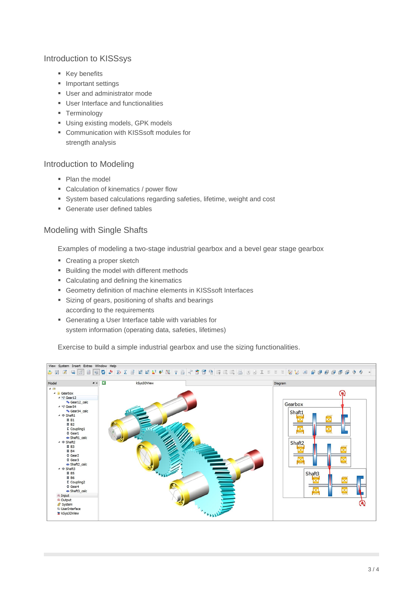## Introduction to KISSsys

- Key benefits
- Important settings
- User and administrator mode
- User Interface and functionalities
- **•** Terminology
- Using existing models, GPK models
- Communication with KISSsoft modules for strength analysis

## Introduction to Modeling

- Plan the model
- Calculation of kinematics / power flow
- System based calculations regarding safeties, lifetime, weight and cost
- Generate user defined tables

## Modeling with Single Shafts

Examples of modeling a two-stage industrial gearbox and a bevel gear stage gearbox

- Creating a proper sketch
- Building the model with different methods
- Calculating and defining the kinematics
- Geometry definition of machine elements in KISSsoft Interfaces
- Sizing of gears, positioning of shafts and bearings according to the requirements
- Generating a User Interface table with variables for system information (operating data, safeties, lifetimes)

Exercise to build a simple industrial gearbox and use the sizing functionalities.